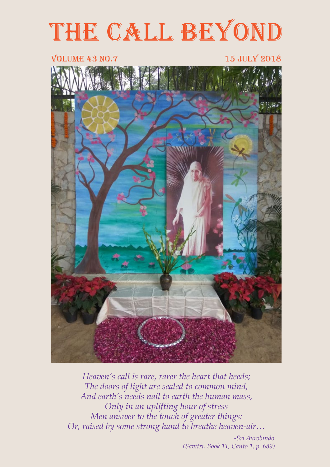# THE CALL BEYOND

#### VOLUME 43 NO.7 15 JULY 2018



*Heaven's call is rare, rarer the heart that heeds; The doors of light are sealed to common mind, And earth's needs nail to earth the human mass, Only in an uplifting hour of stress Men answer to the touch of greater things: Or, raised by some strong hand to breathe heaven-air…* 

> *-Sri Aurobindo (Savitri, Book 11, Canto 1, p. 689)*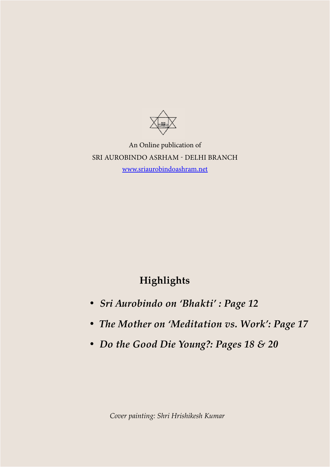

An Online publication of SRI AUROBINDO ASRHAM - DELHI BRANCH [www.sriaurobindoashram.net](http://www.sriaurobindoashram.net)

#### **Highlights**

- *• Sri Aurobindo on 'Bhakti' : Page 12*
- *• The Mother on 'Meditation vs. Work': Page 17*
- *• Do the Good Die Young?: Pages 18 & 20*

*Cover painting: Shri Hrishikesh Kumar*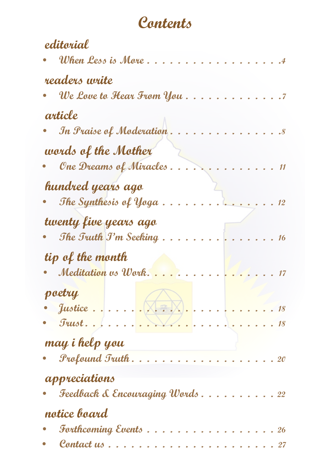# Contents

| editorial                                                |  |
|----------------------------------------------------------|--|
| When Less is More .                                      |  |
| readers write                                            |  |
| . We Love to Hear From You                               |  |
| article                                                  |  |
| In Praise of Moderation.                                 |  |
| words of the Mother                                      |  |
| One Dreams of Miracles .                                 |  |
| hundred years ago                                        |  |
| The Synthesis of Yoga                                    |  |
| twenty five years ago                                    |  |
| The Truth J'm Seeking.                                   |  |
| tip of the month                                         |  |
| Meditation vs Work.                                      |  |
| poetry                                                   |  |
|                                                          |  |
| <u>In a service de la comptant de la compta</u><br>Trust |  |
| may i help you                                           |  |
| Profound Truth                                           |  |
| appreciations                                            |  |
| Feedback & Encouraging Words 22                          |  |
| notice board                                             |  |
| <b>Forthcoming Events</b>                                |  |
| Contact us                                               |  |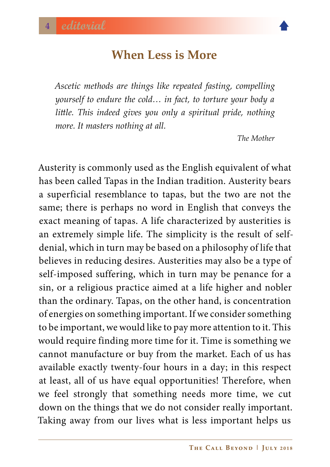#### **When Less is More**

<span id="page-3-0"></span>*Ascetic methods are things like repeated fasting, compelling yourself to endure the cold… in fact, to torture your body a little. This indeed gives you only a spiritual pride, nothing more. It masters nothing at all.*

*The Mother*

Austerity is commonly used as the English equivalent of what has been called Tapas in the Indian tradition. Austerity bears a superficial resemblance to tapas, but the two are not the same; there is perhaps no word in English that conveys the exact meaning of tapas. A life characterized by austerities is an extremely simple life. The simplicity is the result of selfdenial, which in turn may be based on a philosophy of life that believes in reducing desires. Austerities may also be a type of self-imposed suffering, which in turn may be penance for a sin, or a religious practice aimed at a life higher and nobler than the ordinary. Tapas, on the other hand, is concentration of energies on something important. If we consider something to be important, we would like to pay more attention to it. This would require finding more time for it. Time is something we cannot manufacture or buy from the market. Each of us has available exactly twenty-four hours in a day; in this respect at least, all of us have equal opportunities! Therefore, when we feel strongly that something needs more time, we cut down on the things that we do not consider really important. Taking away from our lives what is less important helps us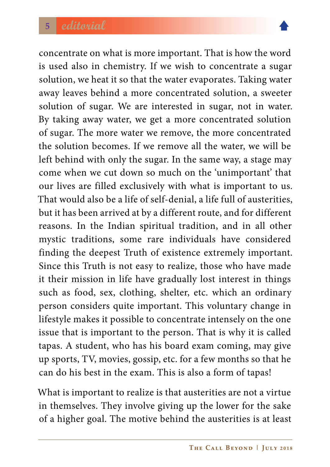

concentrate on what is more important. That is how the word is used also in chemistry. If we wish to concentrate a sugar solution, we heat it so that the water evaporates. Taking water away leaves behind a more concentrated solution, a sweeter solution of sugar. We are interested in sugar, not in water. By taking away water, we get a more concentrated solution of sugar. The more water we remove, the more concentrated the solution becomes. If we remove all the water, we will be left behind with only the sugar. In the same way, a stage may come when we cut down so much on the 'unimportant' that our lives are filled exclusively with what is important to us. That would also be a life of self-denial, a life full of austerities, but it has been arrived at by a different route, and for different reasons. In the Indian spiritual tradition, and in all other mystic traditions, some rare individuals have considered finding the deepest Truth of existence extremely important. Since this Truth is not easy to realize, those who have made it their mission in life have gradually lost interest in things such as food, sex, clothing, shelter, etc. which an ordinary person considers quite important. This voluntary change in lifestyle makes it possible to concentrate intensely on the one issue that is important to the person. That is why it is called tapas. A student, who has his board exam coming, may give up sports, TV, movies, gossip, etc. for a few months so that he can do his best in the exam. This is also a form of tapas!

What is important to realize is that austerities are not a virtue in themselves. They involve giving up the lower for the sake of a higher goal. The motive behind the austerities is at least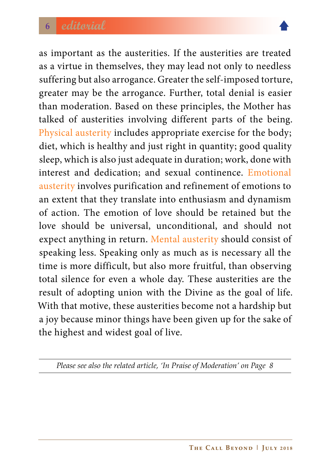

as important as the austerities. If the austerities are treated as a virtue in themselves, they may lead not only to needless suffering but also arrogance. Greater the self-imposed torture, greater may be the arrogance. Further, total denial is easier than moderation. Based on these principles, the Mother has talked of austerities involving different parts of the being. Physical austerity includes appropriate exercise for the body; diet, which is healthy and just right in quantity; good quality sleep, which is also just adequate in duration; work, done with interest and dedication; and sexual continence. Emotional austerity involves purification and refinement of emotions to an extent that they translate into enthusiasm and dynamism of action. The emotion of love should be retained but the love should be universal, unconditional, and should not expect anything in return. Mental austerity should consist of speaking less. Speaking only as much as is necessary all the time is more difficult, but also more fruitful, than observing total silence for even a whole day. These austerities are the result of adopting union with the Divine as the goal of life. With that motive, these austerities become not a hardship but a joy because minor things have been given up for the sake of the highest and widest goal of live.

*Please see also the related article, 'In Praise of Moderation' on Page 8*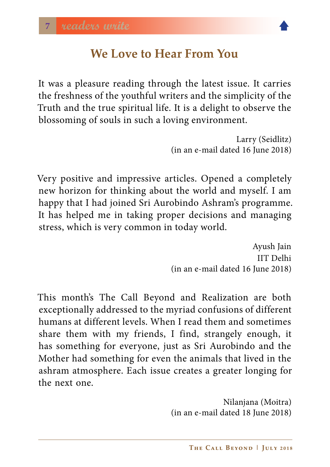

#### **We Love to Hear From You**

<span id="page-6-0"></span>It was a pleasure reading through the latest issue. It carries the freshness of the youthful writers and the simplicity of the Truth and the true spiritual life. It is a delight to observe the blossoming of souls in such a loving environment.

> Larry (Seidlitz) (in an e-mail dated 16 June 2018)

Very positive and impressive articles. Opened a completely new horizon for thinking about the world and myself. I am happy that I had joined Sri Aurobindo Ashram's programme. It has helped me in taking proper decisions and managing stress, which is very common in today world.

> Ayush Jain IIT Delhi (in an e-mail dated 16 June 2018)

This month's The Call Beyond and Realization are both exceptionally addressed to the myriad confusions of different humans at different levels. When I read them and sometimes share them with my friends, I find, strangely enough, it has something for everyone, just as Sri Aurobindo and the Mother had something for even the animals that lived in the ashram atmosphere. Each issue creates a greater longing for the next one.

> Nilanjana (Moitra) (in an e-mail dated 18 June 2018)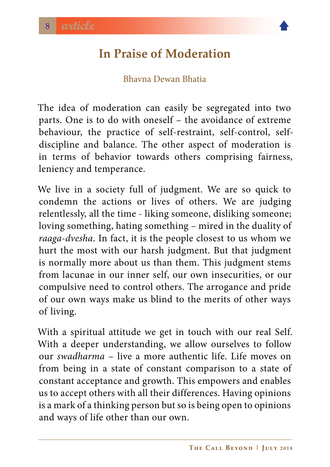### <span id="page-7-0"></span>**In Praise of Moderation**

#### Bhavna Dewan Bhatia

The idea of moderation can easily be segregated into two parts. One is to do with oneself – the avoidance of extreme behaviour, the practice of self-restraint, self-control, selfdiscipline and balance. The other aspect of moderation is in terms of behavior towards others comprising fairness, leniency and temperance.

We live in a society full of judgment. We are so quick to condemn the actions or lives of others. We are judging relentlessly, all the time - liking someone, disliking someone; loving something, hating something – mired in the duality of *raaga-dvesha*. In fact, it is the people closest to us whom we hurt the most with our harsh judgment. But that judgment is normally more about us than them. This judgment stems from lacunae in our inner self, our own insecurities, or our compulsive need to control others. The arrogance and pride of our own ways make us blind to the merits of other ways of living.

With a spiritual attitude we get in touch with our real Self. With a deeper understanding, we allow ourselves to follow our *swadharma* – live a more authentic life. Life moves on from being in a state of constant comparison to a state of constant acceptance and growth. This empowers and enables us to accept others with all their differences. Having opinions is a mark of a thinking person but so is being open to opinions and ways of life other than our own.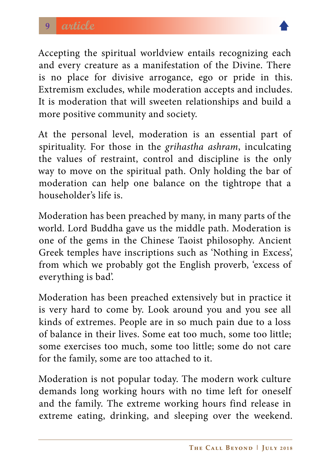

Accepting the spiritual worldview entails recognizing each and every creature as a manifestation of the Divine. There is no place for divisive arrogance, ego or pride in this. Extremism excludes, while moderation accepts and includes. It is moderation that will sweeten relationships and build a more positive community and society.

At the personal level, moderation is an essential part of spirituality. For those in the *grihastha ashram*, inculcating the values of restraint, control and discipline is the only way to move on the spiritual path. Only holding the bar of moderation can help one balance on the tightrope that a householder's life is.

Moderation has been preached by many, in many parts of the world. Lord Buddha gave us the middle path. Moderation is one of the gems in the Chinese Taoist philosophy. Ancient Greek temples have inscriptions such as 'Nothing in Excess', from which we probably got the English proverb, 'excess of everything is bad'.

Moderation has been preached extensively but in practice it is very hard to come by. Look around you and you see all kinds of extremes. People are in so much pain due to a loss of balance in their lives. Some eat too much, some too little; some exercises too much, some too little; some do not care for the family, some are too attached to it.

Moderation is not popular today. The modern work culture demands long working hours with no time left for oneself and the family. The extreme working hours find release in extreme eating, drinking, and sleeping over the weekend.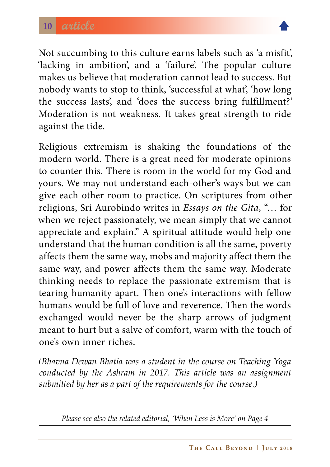

Not succumbing to this culture earns labels such as 'a misfit', 'lacking in ambition', and a 'failure'. The popular culture makes us believe that moderation cannot lead to success. But nobody wants to stop to think, 'successful at what', 'how long the success lasts', and 'does the success bring fulfillment?' Moderation is not weakness. It takes great strength to ride against the tide.

Religious extremism is shaking the foundations of the modern world. There is a great need for moderate opinions to counter this. There is room in the world for my God and yours. We may not understand each-other's ways but we can give each other room to practice. On scriptures from other religions, Sri Aurobindo writes in *Essays on the Gita*, "… for when we reject passionately, we mean simply that we cannot appreciate and explain." A spiritual attitude would help one understand that the human condition is all the same, poverty affects them the same way, mobs and majority affect them the same way, and power affects them the same way. Moderate thinking needs to replace the passionate extremism that is tearing humanity apart. Then one's interactions with fellow humans would be full of love and reverence. Then the words exchanged would never be the sharp arrows of judgment meant to hurt but a salve of comfort, warm with the touch of one's own inner riches.

*(Bhavna Dewan Bhatia was a student in the course on Teaching Yoga conducted by the Ashram in 2017. This article was an assignment submitted by her as a part of the requirements for the course.)* 

*Please see also the related editorial, 'When Less is More' on Page 4*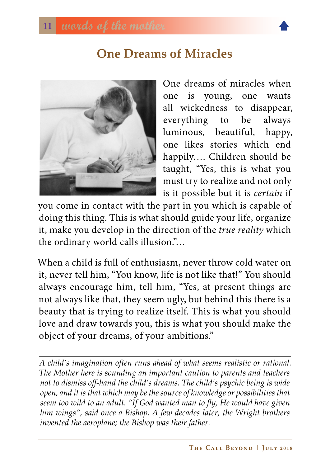#### **One Dreams of Miracles**

<span id="page-10-0"></span>

One dreams of miracles when one is young, one wants all wickedness to disappear, everything to be always luminous, beautiful, happy, one likes stories which end happily…. Children should be taught, "Yes, this is what you must try to realize and not only is it possible but it is *certain* if

you come in contact with the part in you which is capable of doing this thing. This is what should guide your life, organize it, make you develop in the direction of the *true reality* which the ordinary world calls illusion."…

When a child is full of enthusiasm, never throw cold water on it, never tell him, "You know, life is not like that!" You should always encourage him, tell him, "Yes, at present things are not always like that, they seem ugly, but behind this there is a beauty that is trying to realize itself. This is what you should love and draw towards you, this is what you should make the object of your dreams, of your ambitions."

*A child's imagination often runs ahead of what seems realistic or rational. The Mother here is sounding an important caution to parents and teachers not to dismiss off-hand the child's dreams. The child's psychic being is wide open, and it is that which may be the source of knowledge or possibilities that seem too wild to an adult. "If God wanted man to fly, He would have given him wings", said once a Bishop. A few decades later, the Wright brothers invented the aeroplane; the Bishop was their father.*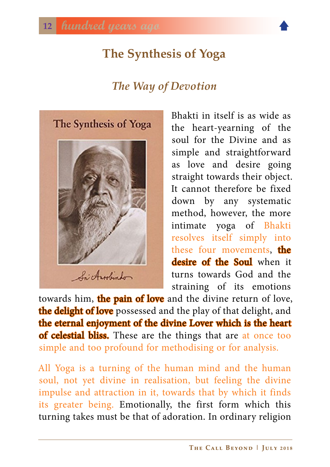# <span id="page-11-0"></span>**The Synthesis of Yoga**

#### *The Way of Devotion*



Bhakti in itself is as wide as the heart-yearning of the soul for the Divine and as simple and straightforward as love and desire going straight towards their object. It cannot therefore be fixed down by any systematic method, however, the more intimate yoga of Bhakti resolves itself simply into these four movements, the desire of the Soul when it turns towards God and the straining of its emotions

towards him, the pain of love and the divine return of love, the delight of love possessed and the play of that delight, and the eternal enjoyment of the divine Lover which is the heart of celestial bliss. These are the things that are at once too simple and too profound for methodising or for analysis.

All Yoga is a turning of the human mind and the human soul, not yet divine in realisation, but feeling the divine impulse and attraction in it, towards that by which it finds its greater being. Emotionally, the first form which this turning takes must be that of adoration. In ordinary religion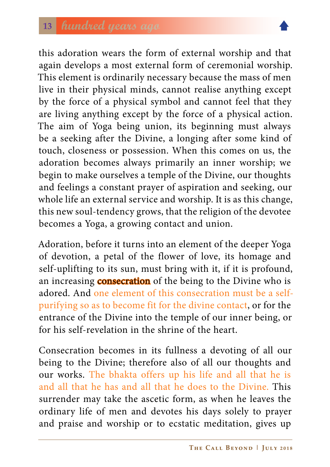

this adoration wears the form of external worship and that again develops a most external form of ceremonial worship. This element is ordinarily necessary because the mass of men live in their physical minds, cannot realise anything except by the force of a physical symbol and cannot feel that they are living anything except by the force of a physical action. The aim of Yoga being union, its beginning must always be a seeking after the Divine, a longing after some kind of touch, closeness or possession. When this comes on us, the adoration becomes always primarily an inner worship; we begin to make ourselves a temple of the Divine, our thoughts and feelings a constant prayer of aspiration and seeking, our whole life an external service and worship. It is as this change, this new soul-tendency grows, that the religion of the devotee becomes a Yoga, a growing contact and union.

Adoration, before it turns into an element of the deeper Yoga of devotion, a petal of the flower of love, its homage and self-uplifting to its sun, must bring with it, if it is profound, an increasing **consecration** of the being to the Divine who is adored. And one element of this consecration must be a selfpurifying so as to become fit for the divine contact, or for the entrance of the Divine into the temple of our inner being, or for his self-revelation in the shrine of the heart.

Consecration becomes in its fullness a devoting of all our being to the Divine; therefore also of all our thoughts and our works. The bhakta offers up his life and all that he is and all that he has and all that he does to the Divine. This surrender may take the ascetic form, as when he leaves the ordinary life of men and devotes his days solely to prayer and praise and worship or to ecstatic meditation, gives up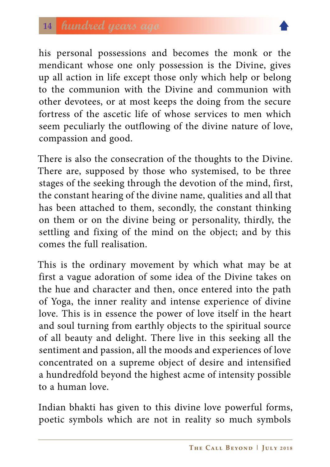

his personal possessions and becomes the monk or the mendicant whose one only possession is the Divine, gives up all action in life except those only which help or belong to the communion with the Divine and communion with other devotees, or at most keeps the doing from the secure fortress of the ascetic life of whose services to men which seem peculiarly the outflowing of the divine nature of love, compassion and good.

There is also the consecration of the thoughts to the Divine. There are, supposed by those who systemised, to be three stages of the seeking through the devotion of the mind, first, the constant hearing of the divine name, qualities and all that has been attached to them, secondly, the constant thinking on them or on the divine being or personality, thirdly, the settling and fixing of the mind on the object; and by this comes the full realisation.

This is the ordinary movement by which what may be at first a vague adoration of some idea of the Divine takes on the hue and character and then, once entered into the path of Yoga, the inner reality and intense experience of divine love. This is in essence the power of love itself in the heart and soul turning from earthly objects to the spiritual source of all beauty and delight. There live in this seeking all the sentiment and passion, all the moods and experiences of love concentrated on a supreme object of desire and intensified a hundredfold beyond the highest acme of intensity possible to a human love.

Indian bhakti has given to this divine love powerful forms, poetic symbols which are not in reality so much symbols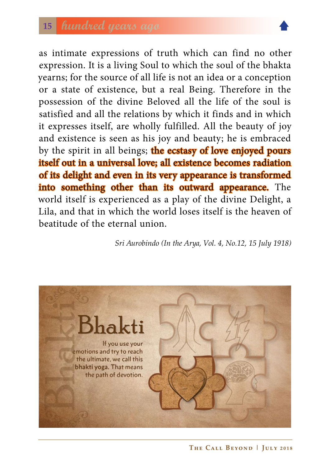### **<sup>15</sup> hundred years ago**



as intimate expressions of truth which can find no other expression. It is a living Soul to which the soul of the bhakta yearns; for the source of all life is not an idea or a conception or a state of existence, but a real Being. Therefore in the possession of the divine Beloved all the life of the soul is satisfied and all the relations by which it finds and in which it expresses itself, are wholly fulfilled. All the beauty of joy and existence is seen as his joy and beauty; he is embraced by the spirit in all beings; the ecstasy of love enjoyed pours itself out in a universal love; all existence becomes radiation of its delight and even in its very appearance is transformed into something other than its outward appearance. The world itself is experienced as a play of the divine Delight, a Lila, and that in which the world loses itself is the heaven of beatitude of the eternal union.

 *Sri Aurobindo (In the Arya, Vol. 4, No.12, 15 July 1918)*

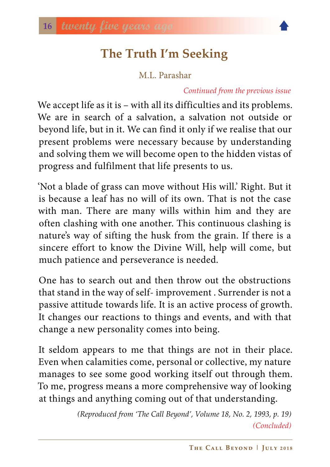# **The Truth I'm Seeking**

M.L. Parashar

#### *Continued from the previous issue*

<span id="page-15-0"></span>We accept life as it is – with all its difficulties and its problems. We are in search of a salvation, a salvation not outside or beyond life, but in it. We can find it only if we realise that our present problems were necessary because by understanding and solving them we will become open to the hidden vistas of progress and fulfilment that life presents to us.

'Not a blade of grass can move without His will.' Right. But it is because a leaf has no will of its own. That is not the case with man. There are many wills within him and they are often clashing with one another. This continuous clashing is nature's way of sifting the husk from the grain. If there is a sincere effort to know the Divine Will, help will come, but much patience and perseverance is needed.

One has to search out and then throw out the obstructions that stand in the way of self- improvement . Surrender is not a passive attitude towards life. It is an active process of growth. It changes our reactions to things and events, and with that change a new personality comes into being.

It seldom appears to me that things are not in their place. Even when calamities come, personal or collective, my nature manages to see some good working itself out through them. To me, progress means a more comprehensive way of looking at things and anything coming out of that understanding.

> *(Reproduced from 'The Call Beyond', Volume 18, No. 2, 1993, p. 19) (Concluded)*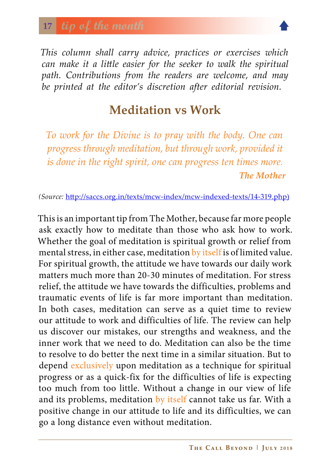#### <span id="page-16-0"></span>**<sup>17</sup> tip of the month**

*This column shall carry advice, practices or exercises which can make it a little easier for the seeker to walk the spiritual path. Contributions from the readers are welcome, and may be printed at the editor's discretion after editorial revision.*

#### **Meditation vs Work**

*To work for the Divine is to pray with the body. One can progress through meditation, but through work, provided it is done in the right spirit, one can progress ten times more. The Mother*

*(Source:* [http://saccs.org.in/texts/mcw-index/mcw-indexed-texts/14-319.php\)](http://saccs.org.in/texts/mcw-index/mcw-indexed-texts/14-319.php)

This is an important tip from The Mother, because far more people ask exactly how to meditate than those who ask how to work. Whether the goal of meditation is spiritual growth or relief from mental stress, in either case, meditation by itself is of limited value. For spiritual growth, the attitude we have towards our daily work matters much more than 20-30 minutes of meditation. For stress relief, the attitude we have towards the difficulties, problems and traumatic events of life is far more important than meditation. In both cases, meditation can serve as a quiet time to review our attitude to work and difficulties of life. The review can help us discover our mistakes, our strengths and weakness, and the inner work that we need to do. Meditation can also be the time to resolve to do better the next time in a similar situation. But to depend exclusively upon meditation as a technique for spiritual progress or as a quick-fix for the difficulties of life is expecting too much from too little. Without a change in our view of life and its problems, meditation by itself cannot take us far. With a positive change in our attitude to life and its difficulties, we can go a long distance even without meditation.

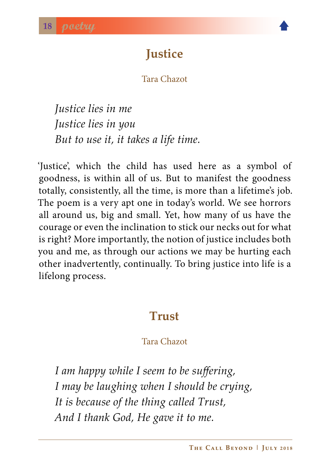

# **Justice**

Tara Chazot

<span id="page-17-0"></span>*Justice lies in me Justice lies in you But to use it, it takes a life time.*

'Justice', which the child has used here as a symbol of goodness, is within all of us. But to manifest the goodness totally, consistently, all the time, is more than a lifetime's job. The poem is a very apt one in today's world. We see horrors all around us, big and small. Yet, how many of us have the courage or even the inclination to stick our necks out for what is right? More importantly, the notion of justice includes both you and me, as through our actions we may be hurting each other inadvertently, continually. To bring justice into life is a lifelong process.

#### **Trust**

#### Tara Chazot

*I am happy while I seem to be suffering, I may be laughing when I should be crying, It is because of the thing called Trust, And I thank God, He gave it to me.*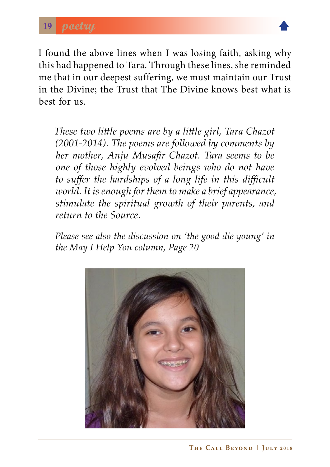

I found the above lines when I was losing faith, asking why this had happened to Tara. Through these lines, she reminded me that in our deepest suffering, we must maintain our Trust in the Divine; the Trust that The Divine knows best what is best for us.

*These two little poems are by a little girl, Tara Chazot (2001-2014). The poems are followed by comments by her mother, Anju Musafir-Chazot. Tara seems to be one of those highly evolved beings who do not have to suffer the hardships of a long life in this difficult world. It is enough for them to make a brief appearance, stimulate the spiritual growth of their parents, and return to the Source.* 

*Please see also the discussion on 'the good die young' in the May I Help You column, Page 20*

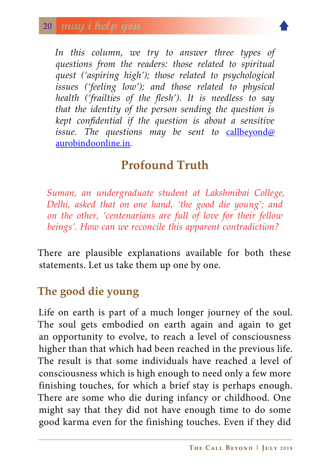

<span id="page-19-0"></span>In this column, we try to answer three types of *questions from the readers: those related to spiritual quest ('aspiring high'); those related to psychological issues ('feeling low'); and those related to physical health ('frailties of the flesh'). It is needless to say that the identity of the person sending the question is kept confidential if the question is about a sensitive issue. The questions may be sent to* [callbeyond@](callbeyond@aurobindoonline.in) [aurobindoonline.in](callbeyond@aurobindoonline.in)*.*

## **Profound Truth**

*Suman, an undergraduate student at Lakshmibai College, Delhi, asked that on one hand, 'the good die young'; and on the other, 'centenarians are full of love for their fellow beings'. How can we reconcile this apparent contradiction?* 

There are plausible explanations available for both these statements. Let us take them up one by one.

#### **The good die young**

Life on earth is part of a much longer journey of the soul. The soul gets embodied on earth again and again to get an opportunity to evolve, to reach a level of consciousness higher than that which had been reached in the previous life. The result is that some individuals have reached a level of consciousness which is high enough to need only a few more finishing touches, for which a brief stay is perhaps enough. There are some who die during infancy or childhood. One might say that they did not have enough time to do some good karma even for the finishing touches. Even if they did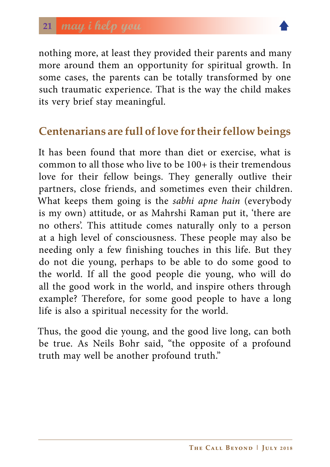

nothing more, at least they provided their parents and many more around them an opportunity for spiritual growth. In some cases, the parents can be totally transformed by one such traumatic experience. That is the way the child makes its very brief stay meaningful.

#### **Centenarians are full of love for their fellow beings**

It has been found that more than diet or exercise, what is common to all those who live to be 100+ is their tremendous love for their fellow beings. They generally outlive their partners, close friends, and sometimes even their children. What keeps them going is the *sabhi apne hain* (everybody is my own) attitude, or as Mahrshi Raman put it, 'there are no others'. This attitude comes naturally only to a person at a high level of consciousness. These people may also be needing only a few finishing touches in this life. But they do not die young, perhaps to be able to do some good to the world. If all the good people die young, who will do all the good work in the world, and inspire others through example? Therefore, for some good people to have a long life is also a spiritual necessity for the world.

Thus, the good die young, and the good live long, can both be true. As Neils Bohr said, "the opposite of a profound truth may well be another profound truth."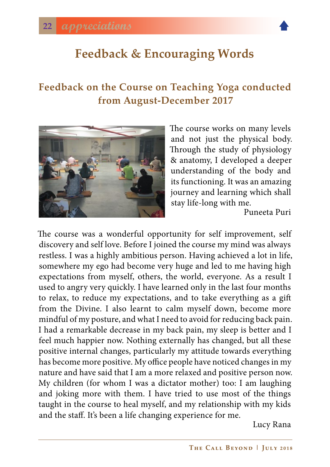<span id="page-21-0"></span>

#### **Feedback on the Course on Teaching Yoga conducted from August-December 2017**



The course works on many levels and not just the physical body. Through the study of physiology & anatomy, I developed a deeper understanding of the body and its functioning. It was an amazing journey and learning which shall stay life-long with me.

Puneeta Puri

The course was a wonderful opportunity for self improvement, self discovery and self love. Before I joined the course my mind was always restless. I was a highly ambitious person. Having achieved a lot in life, somewhere my ego had become very huge and led to me having high expectations from myself, others, the world, everyone. As a result I used to angry very quickly. I have learned only in the last four months to relax, to reduce my expectations, and to take everything as a gift from the Divine. I also learnt to calm myself down, become more mindful of my posture, and what I need to avoid for reducing back pain. I had a remarkable decrease in my back pain, my sleep is better and I feel much happier now. Nothing externally has changed, but all these positive internal changes, particularly my attitude towards everything has become more positive. My office people have noticed changes in my nature and have said that I am a more relaxed and positive person now. My children (for whom I was a dictator mother) too: I am laughing and joking more with them. I have tried to use most of the things taught in the course to heal myself, and my relationship with my kids and the staff. It's been a life changing experience for me.

Lucy Rana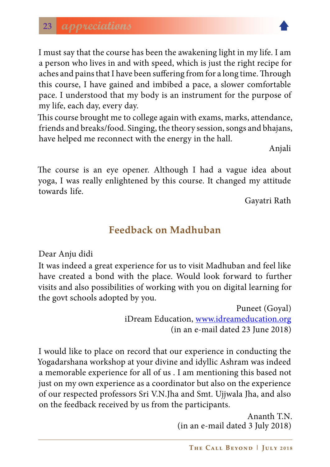I must say that the course has been the awakening light in my life. I am a person who lives in and with speed, which is just the right recipe for aches and pains that I have been suffering from for a long time. Through this course, I have gained and imbibed a pace, a slower comfortable pace. I understood that my body is an instrument for the purpose of my life, each day, every day.

This course brought me to college again with exams, marks, attendance, friends and breaks/food. Singing, the theory session, songs and bhajans, have helped me reconnect with the energy in the hall.

Anjali

The course is an eye opener. Although I had a vague idea about yoga, I was really enlightened by this course. It changed my attitude towards life.

Gayatri Rath

#### **Feedback on Madhuban**

Dear Anju didi

It was indeed a great experience for us to visit Madhuban and feel like have created a bond with the place. Would look forward to further visits and also possibilities of working with you on digital learning for the govt schools adopted by you.

> Puneet (Goyal) iDream Education, [www.idreameducation.org](http://www.idreameducation.org) (in an e-mail dated 23 June 2018)

I would like to place on record that our experience in conducting the Yogadarshana workshop at your divine and idyllic Ashram was indeed a memorable experience for all of us . I am mentioning this based not just on my own experience as a coordinator but also on the experience of our respected professors Sri V.N.Jha and Smt. Ujjwala Jha, and also on the feedback received by us from the participants.

> Ananth T.N. (in an e-mail dated 3 July 2018)

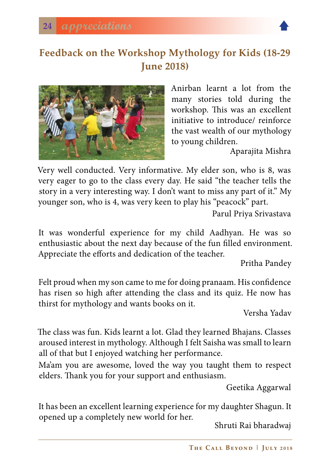

#### **Feedback on the Workshop Mythology for Kids (18-29 June 2018)**



Anirban learnt a lot from the many stories told during the workshop. This was an excellent initiative to introduce/ reinforce the vast wealth of our mythology to young children.

Aparajita Mishra

Very well conducted. Very informative. My elder son, who is 8, was very eager to go to the class every day. He said "the teacher tells the story in a very interesting way. I don't want to miss any part of it." My younger son, who is 4, was very keen to play his "peacock" part.

Parul Priya Srivastava

It was wonderful experience for my child Aadhyan. He was so enthusiastic about the next day because of the fun filled environment. Appreciate the efforts and dedication of the teacher.

Pritha Pandey

Felt proud when my son came to me for doing pranaam. His confidence has risen so high after attending the class and its quiz. He now has thirst for mythology and wants books on it.

Versha Yadav

The class was fun. Kids learnt a lot. Glad they learned Bhajans. Classes aroused interest in mythology. Although I felt Saisha was small to learn all of that but I enjoyed watching her performance.

Ma'am you are awesome, loved the way you taught them to respect elders. Thank you for your support and enthusiasm.

Geetika Aggarwal

It has been an excellent learning experience for my daughter Shagun. It opened up a completely new world for her. Shruti Rai bharadwaj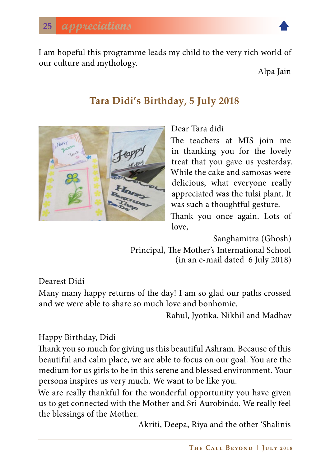I am hopeful this programme leads my child to the very rich world of our culture and mythology.<br>
Alpa Jain

#### **Tara Didi's Birthday, 5 July 2018**



Dear Tara didi

The teachers at MIS join me in thanking you for the lovely treat that you gave us yesterday. While the cake and samosas were delicious, what everyone really appreciated was the tulsi plant. It was such a thoughtful gesture.

Thank you once again. Lots of love,

Sanghamitra (Ghosh)

Principal, The Mother's International School (in an e-mail dated 6 July 2018)

Dearest Didi

Many many happy returns of the day! I am so glad our paths crossed and we were able to share so much love and bonhomie.

Rahul, Jyotika, Nikhil and Madhav

Happy Birthday, Didi

Thank you so much for giving us this beautiful Ashram. Because of this beautiful and calm place, we are able to focus on our goal. You are the medium for us girls to be in this serene and blessed environment. Your persona inspires us very much. We want to be like you.

We are really thankful for the wonderful opportunity you have given us to get connected with the Mother and Sri Aurobindo. We really feel the blessings of the Mother.

Akriti, Deepa, Riya and the other 'Shalinis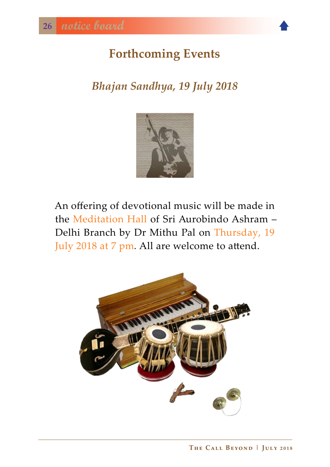# <span id="page-25-0"></span>**Forthcoming Events**

# *Bhajan Sandhya, 19 July 2018*



An offering of devotional music will be made in the Meditation Hall of Sri Aurobindo Ashram – Delhi Branch by Dr Mithu Pal on Thursday, 19 July 2018 at 7 pm*.* All are welcome to attend.